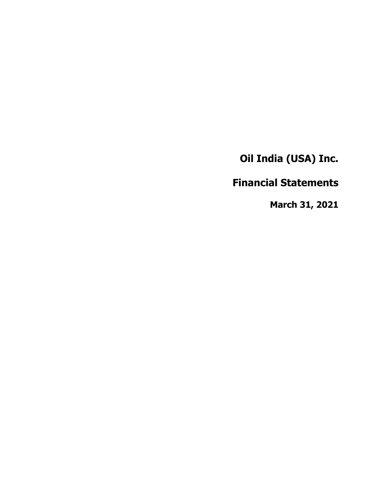**Financial Statements**

**March 31, 2021**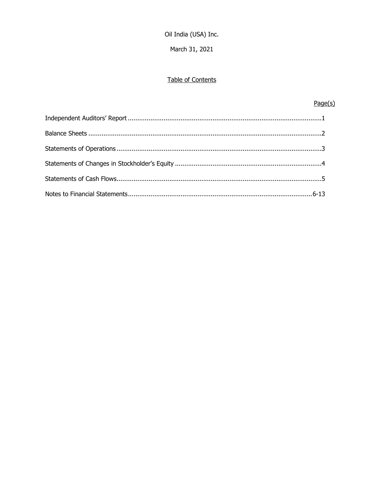March 31, 2021

# Table of Contents

# $Page(s)$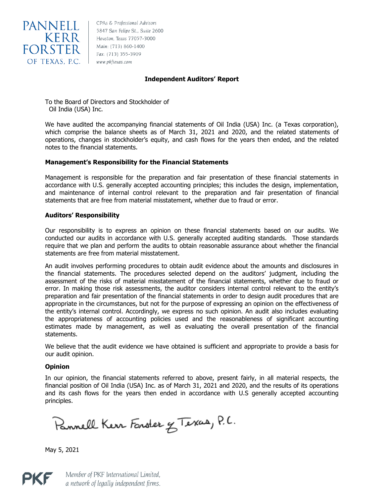

5847 San Felipe St., Suite 2600 Houston, Texas 77057-3000 Main: (713) 860-1400 Fax: (713) 355-3909

# **Independent Auditors' Report**

To the Board of Directors and Stockholder of Oil India (USA) Inc.

We have audited the accompanying financial statements of Oil India (USA) Inc. (a Texas corporation), which comprise the balance sheets as of March 31, 2021 and 2020, and the related statements of operations, changes in stockholder's equity, and cash flows for the years then ended, and the related notes to the financial statements.

# **Management's Responsibility for the Financial Statements**

Management is responsible for the preparation and fair presentation of these financial statements in accordance with U.S. generally accepted accounting principles; this includes the design, implementation, and maintenance of internal control relevant to the preparation and fair presentation of financial statements that are free from material misstatement, whether due to fraud or error.

## **Auditors' Responsibility**

Our responsibility is to express an opinion on these financial statements based on our audits. We conducted our audits in accordance with U.S. generally accepted auditing standards. Those standards require that we plan and perform the audits to obtain reasonable assurance about whether the financial statements are free from material misstatement.

An audit involves performing procedures to obtain audit evidence about the amounts and disclosures in the financial statements. The procedures selected depend on the auditors' judgment, including the assessment of the risks of material misstatement of the financial statements, whether due to fraud or error. In making those risk assessments, the auditor considers internal control relevant to the entity's preparation and fair presentation of the financial statements in order to design audit procedures that are appropriate in the circumstances, but not for the purpose of expressing an opinion on the effectiveness of the entity's internal control. Accordingly, we express no such opinion. An audit also includes evaluating the appropriateness of accounting policies used and the reasonableness of significant accounting estimates made by management, as well as evaluating the overall presentation of the financial statements.

We believe that the audit evidence we have obtained is sufficient and appropriate to provide a basis for our audit opinion.

## **Opinion**

In our opinion, the financial statements referred to above, present fairly, in all material respects, the financial position of Oil India (USA) Inc. as of March 31, 2021 and 2020, and the results of its operations and its cash flows for the years then ended in accordance with U.S generally accepted accounting principles.

Pannell Kerr Forster & Texas, P.C.

May 5, 2021



Member of PKF International Limited, a network of legally independent firms.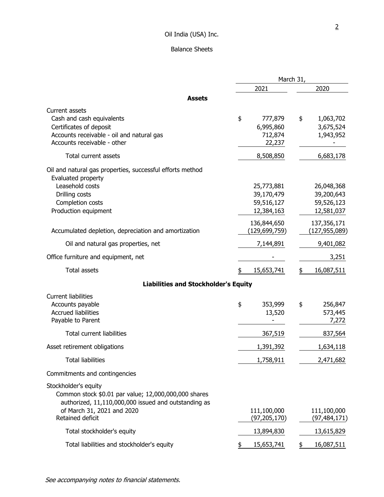# Balance Sheets

|                                                                                                                                                                                        | March 31,                                            |                                                      |  |
|----------------------------------------------------------------------------------------------------------------------------------------------------------------------------------------|------------------------------------------------------|------------------------------------------------------|--|
|                                                                                                                                                                                        | 2021                                                 | 2020                                                 |  |
| <b>Assets</b>                                                                                                                                                                          |                                                      |                                                      |  |
| Current assets<br>Cash and cash equivalents<br>Certificates of deposit<br>Accounts receivable - oil and natural gas                                                                    | \$<br>777,879<br>6,995,860<br>712,874                | \$<br>1,063,702<br>3,675,524<br>1,943,952            |  |
| Accounts receivable - other                                                                                                                                                            | 22,237                                               |                                                      |  |
| Total current assets                                                                                                                                                                   | 8,508,850                                            | 6,683,178                                            |  |
| Oil and natural gas properties, successful efforts method<br>Evaluated property<br>Leasehold costs<br>Drilling costs<br>Completion costs<br>Production equipment                       | 25,773,881<br>39,170,479<br>59,516,127<br>12,384,163 | 26,048,368<br>39,200,643<br>59,526,123<br>12,581,037 |  |
| Accumulated depletion, depreciation and amortization                                                                                                                                   | 136,844,650<br>(129,699,759)                         | 137, 356, 171<br>(127, 955, 089)                     |  |
| Oil and natural gas properties, net                                                                                                                                                    | 7,144,891                                            | 9,401,082                                            |  |
| Office furniture and equipment, net                                                                                                                                                    |                                                      | 3,251                                                |  |
| <b>Total assets</b>                                                                                                                                                                    | \$<br>15,653,741                                     | 16,087,511<br>\$                                     |  |
| <b>Liabilities and Stockholder's Equity</b>                                                                                                                                            |                                                      |                                                      |  |
| <b>Current liabilities</b><br>Accounts payable<br><b>Accrued liabilities</b><br>Payable to Parent<br><b>Total current liabilities</b>                                                  | \$<br>353,999<br>13,520<br>367,519                   | \$<br>256,847<br>573,445<br>7,272<br>837,564         |  |
| Asset retirement obligations                                                                                                                                                           | 1,391,392                                            | 1,634,118                                            |  |
| <b>Total liabilities</b>                                                                                                                                                               | 1,758,911                                            | 2,471,682                                            |  |
| Commitments and contingencies                                                                                                                                                          |                                                      |                                                      |  |
| Stockholder's equity<br>Common stock \$0.01 par value; 12,000,000,000 shares<br>authorized, 11,110,000,000 issued and outstanding as<br>of March 31, 2021 and 2020<br>Retained deficit | 111,100,000<br>(97, 205, 170)                        | 111,100,000<br>(97, 484, 171)                        |  |
| Total stockholder's equity                                                                                                                                                             | 13,894,830                                           | 13,615,829                                           |  |
| Total liabilities and stockholder's equity                                                                                                                                             | 15,653,741<br>\$                                     | 16,087,511<br>\$                                     |  |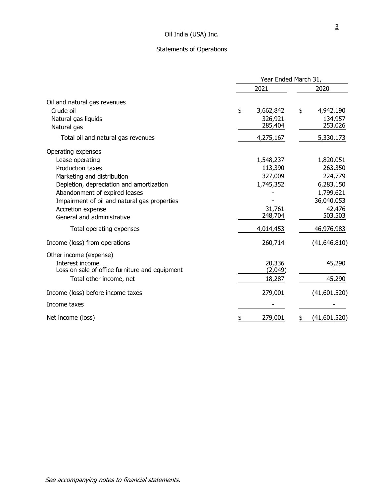# Statements of Operations

|                                                | Year Ended March 31, |                   |    |                   |
|------------------------------------------------|----------------------|-------------------|----|-------------------|
|                                                |                      | 2021              |    | 2020              |
| Oil and natural gas revenues                   |                      |                   |    |                   |
| Crude oil                                      | \$                   | 3,662,842         | \$ | 4,942,190         |
| Natural gas liquids                            |                      | 326,921           |    | 134,957           |
| Natural gas                                    |                      | 285,404           |    | 253,026           |
| Total oil and natural gas revenues             |                      | 4,275,167         |    | 5,330,173         |
| Operating expenses                             |                      |                   |    |                   |
| Lease operating                                |                      | 1,548,237         |    | 1,820,051         |
| <b>Production taxes</b>                        |                      | 113,390           |    | 263,350           |
| Marketing and distribution                     |                      | 327,009           |    | 224,779           |
| Depletion, depreciation and amortization       |                      | 1,745,352         |    | 6,283,150         |
| Abandonment of expired leases                  |                      |                   |    | 1,799,621         |
| Impairment of oil and natural gas properties   |                      |                   |    | 36,040,053        |
| Accretion expense                              |                      | 31,761<br>248,704 |    | 42,476<br>503,503 |
| General and administrative                     |                      |                   |    |                   |
| Total operating expenses                       |                      | 4,014,453         |    | 46,976,983        |
| Income (loss) from operations                  |                      | 260,714           |    | (41, 646, 810)    |
| Other income (expense)                         |                      |                   |    |                   |
| Interest income                                |                      | 20,336            |    | 45,290            |
| Loss on sale of office furniture and equipment |                      | (2,049)           |    |                   |
| Total other income, net                        |                      | 18,287            |    | 45,290            |
| Income (loss) before income taxes              |                      | 279,001           |    | (41,601,520)      |
| Income taxes                                   |                      |                   |    |                   |
| Net income (loss)                              | \$                   | 279,001           |    | (41,601,520)      |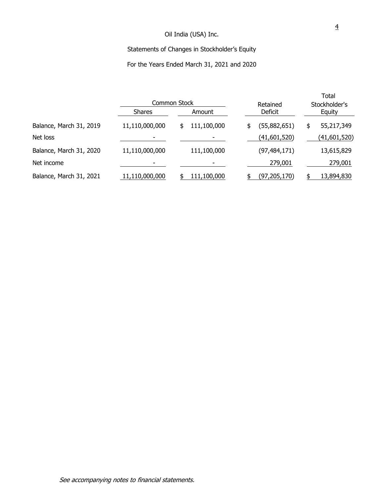# Statements of Changes in Stockholder's Equity

# For the Years Ended March 31, 2021 and 2020

|                         |                | <b>Common Stock</b> | Retained           | Total<br>Stockholder's |
|-------------------------|----------------|---------------------|--------------------|------------------------|
|                         | <b>Shares</b>  | Amount              | <b>Deficit</b>     | Equity                 |
| Balance, March 31, 2019 | 11,110,000,000 | 111,100,000<br>\$   | (55,882,651)<br>\$ | 55,217,349<br>\$       |
| Net loss                |                |                     | (41,601,520)       | (41,601,520)           |
| Balance, March 31, 2020 | 11,110,000,000 | 111,100,000         | (97, 484, 171)     | 13,615,829             |
| Net income              | ۰              |                     | 279,001            | 279,001                |
| Balance, March 31, 2021 | 11,110,000,000 | 111,100,000         | (97, 205, 170)     | 13,894,830<br>\$       |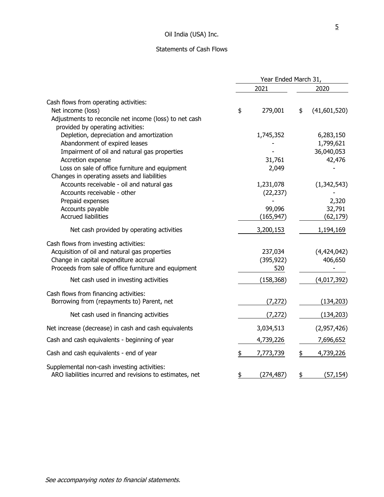# Statements of Cash Flows

|                                                                                                         | Year Ended March 31, |            |    |              |
|---------------------------------------------------------------------------------------------------------|----------------------|------------|----|--------------|
|                                                                                                         |                      | 2021       |    | 2020         |
| Cash flows from operating activities:                                                                   |                      |            |    |              |
| Net income (loss)                                                                                       | \$                   | 279,001    | \$ | (41,601,520) |
| Adjustments to reconcile net income (loss) to net cash                                                  |                      |            |    |              |
| provided by operating activities:                                                                       |                      |            |    |              |
| Depletion, depreciation and amortization                                                                |                      | 1,745,352  |    | 6,283,150    |
| Abandonment of expired leases                                                                           |                      |            |    | 1,799,621    |
| Impairment of oil and natural gas properties                                                            |                      |            |    | 36,040,053   |
| Accretion expense                                                                                       |                      | 31,761     |    | 42,476       |
| Loss on sale of office furniture and equipment                                                          |                      | 2,049      |    |              |
| Changes in operating assets and liabilities                                                             |                      |            |    |              |
| Accounts receivable - oil and natural gas                                                               |                      | 1,231,078  |    | (1,342,543)  |
| Accounts receivable - other<br>Prepaid expenses                                                         |                      | (22, 237)  |    | 2,320        |
| Accounts payable                                                                                        |                      | 99,096     |    | 32,791       |
| <b>Accrued liabilities</b>                                                                              |                      | (165, 947) |    | (62, 179)    |
|                                                                                                         |                      |            |    |              |
| Net cash provided by operating activities                                                               |                      | 3,200,153  |    | 1,194,169    |
| Cash flows from investing activities:                                                                   |                      |            |    |              |
| Acquisition of oil and natural gas properties                                                           |                      | 237,034    |    | (4,424,042)  |
| Change in capital expenditure accrual                                                                   |                      | (395, 922) |    | 406,650      |
| Proceeds from sale of office furniture and equipment                                                    |                      | 520        |    |              |
| Net cash used in investing activities                                                                   |                      | (158, 368) |    | (4,017,392)  |
| Cash flows from financing activities:                                                                   |                      |            |    |              |
| Borrowing from (repayments to) Parent, net                                                              |                      | (7, 272)   |    | (134, 203)   |
| Net cash used in financing activities                                                                   |                      | (7, 272)   |    | (134, 203)   |
| Net increase (decrease) in cash and cash equivalents                                                    |                      | 3,034,513  |    | (2,957,426)  |
| Cash and cash equivalents - beginning of year                                                           |                      | 4,739,226  |    | 7,696,652    |
|                                                                                                         |                      |            |    |              |
| Cash and cash equivalents - end of year                                                                 | \$                   | 7,773,739  | \$ | 4,739,226    |
| Supplemental non-cash investing activities:<br>ARO liabilities incurred and revisions to estimates, net | \$                   | (274, 487) | \$ | (57, 154)    |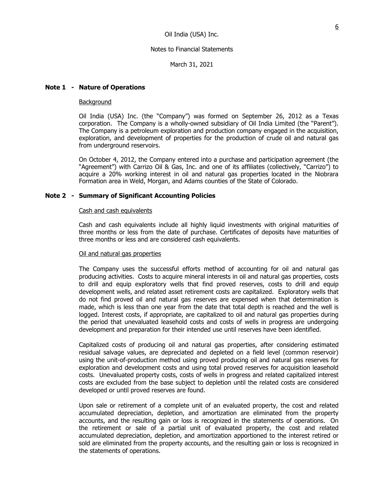March 31, 2021

## **Note 1 - Nature of Operations**

### Background

Oil India (USA) Inc. (the "Company") was formed on September 26, 2012 as a Texas corporation. The Company is a wholly-owned subsidiary of Oil India Limited (the "Parent"). The Company is a petroleum exploration and production company engaged in the acquisition, exploration, and development of properties for the production of crude oil and natural gas from underground reservoirs.

On October 4, 2012, the Company entered into a purchase and participation agreement (the "Agreement") with Carrizo Oil & Gas, Inc. and one of its affiliates (collectively, "Carrizo") to acquire a 20% working interest in oil and natural gas properties located in the Niobrara Formation area in Weld, Morgan, and Adams counties of the State of Colorado.

## **Note 2 - Summary of Significant Accounting Policies**

## Cash and cash equivalents

Cash and cash equivalents include all highly liquid investments with original maturities of three months or less from the date of purchase. Certificates of deposits have maturities of three months or less and are considered cash equivalents.

### Oil and natural gas properties

The Company uses the successful efforts method of accounting for oil and natural gas producing activities. Costs to acquire mineral interests in oil and natural gas properties, costs to drill and equip exploratory wells that find proved reserves, costs to drill and equip development wells, and related asset retirement costs are capitalized. Exploratory wells that do not find proved oil and natural gas reserves are expensed when that determination is made, which is less than one year from the date that total depth is reached and the well is logged. Interest costs, if appropriate, are capitalized to oil and natural gas properties during the period that unevaluated leasehold costs and costs of wells in progress are undergoing development and preparation for their intended use until reserves have been identified.

Capitalized costs of producing oil and natural gas properties, after considering estimated residual salvage values, are depreciated and depleted on a field level (common reservoir) using the unit-of-production method using proved producing oil and natural gas reserves for exploration and development costs and using total proved reserves for acquisition leasehold costs. Unevaluated property costs, costs of wells in progress and related capitalized interest costs are excluded from the base subject to depletion until the related costs are considered developed or until proved reserves are found.

Upon sale or retirement of a complete unit of an evaluated property, the cost and related accumulated depreciation, depletion, and amortization are eliminated from the property accounts, and the resulting gain or loss is recognized in the statements of operations. On the retirement or sale of a partial unit of evaluated property, the cost and related accumulated depreciation, depletion, and amortization apportioned to the interest retired or sold are eliminated from the property accounts, and the resulting gain or loss is recognized in the statements of operations.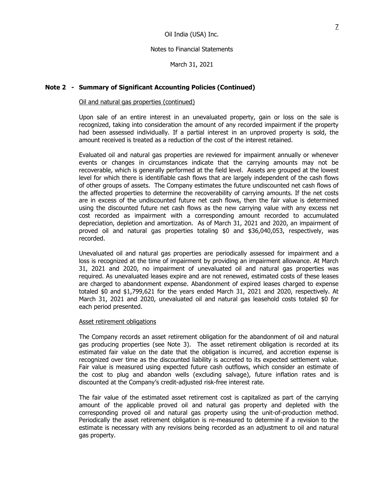March 31, 2021

## **Note 2 - Summary of Significant Accounting Policies (Continued)**

### Oil and natural gas properties (continued)

Upon sale of an entire interest in an unevaluated property, gain or loss on the sale is recognized, taking into consideration the amount of any recorded impairment if the property had been assessed individually. If a partial interest in an unproved property is sold, the amount received is treated as a reduction of the cost of the interest retained.

Evaluated oil and natural gas properties are reviewed for impairment annually or whenever events or changes in circumstances indicate that the carrying amounts may not be recoverable, which is generally performed at the field level. Assets are grouped at the lowest level for which there is identifiable cash flows that are largely independent of the cash flows of other groups of assets. The Company estimates the future undiscounted net cash flows of the affected properties to determine the recoverability of carrying amounts. If the net costs are in excess of the undiscounted future net cash flows, then the fair value is determined using the discounted future net cash flows as the new carrying value with any excess net cost recorded as impairment with a corresponding amount recorded to accumulated depreciation, depletion and amortization. As of March 31, 2021 and 2020, an impairment of proved oil and natural gas properties totaling \$0 and \$36,040,053, respectively, was recorded.

Unevaluated oil and natural gas properties are periodically assessed for impairment and a loss is recognized at the time of impairment by providing an impairment allowance. At March 31, 2021 and 2020, no impairment of unevaluated oil and natural gas properties was required. As unevaluated leases expire and are not renewed, estimated costs of these leases are charged to abandonment expense. Abandonment of expired leases charged to expense totaled \$0 and \$1,799,621 for the years ended March 31, 2021 and 2020, respectively. At March 31, 2021 and 2020, unevaluated oil and natural gas leasehold costs totaled \$0 for each period presented.

### Asset retirement obligations

The Company records an asset retirement obligation for the abandonment of oil and natural gas producing properties (see Note 3). The asset retirement obligation is recorded at its estimated fair value on the date that the obligation is incurred, and accretion expense is recognized over time as the discounted liability is accreted to its expected settlement value. Fair value is measured using expected future cash outflows, which consider an estimate of the cost to plug and abandon wells (excluding salvage), future inflation rates and is discounted at the Company's credit-adjusted risk-free interest rate.

The fair value of the estimated asset retirement cost is capitalized as part of the carrying amount of the applicable proved oil and natural gas property and depleted with the corresponding proved oil and natural gas property using the unit-of-production method. Periodically the asset retirement obligation is re-measured to determine if a revision to the estimate is necessary with any revisions being recorded as an adjustment to oil and natural gas property.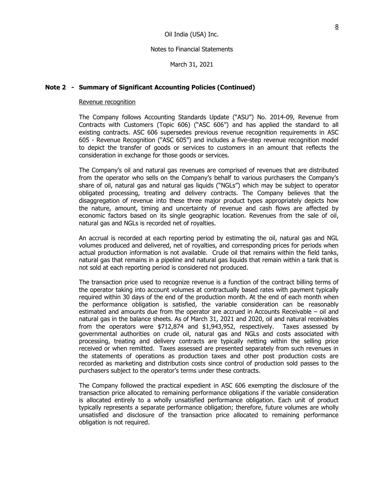March 31, 2021

## **Note 2 - Summary of Significant Accounting Policies (Continued)**

#### Revenue recognition

The Company follows Accounting Standards Update ("ASU") No. 2014-09, Revenue from Contracts with Customers (Topic 606) ("ASC 606") and has applied the standard to all existing contracts. ASC 606 supersedes previous revenue recognition requirements in ASC 605 - Revenue Recognition ("ASC 605") and includes a five-step revenue recognition model to depict the transfer of goods or services to customers in an amount that reflects the consideration in exchange for those goods or services.

The Company's oil and natural gas revenues are comprised of revenues that are distributed from the operator who sells on the Company's behalf to various purchasers the Company's share of oil, natural gas and natural gas liquids ("NGLs") which may be subject to operator obligated processing, treating and delivery contracts. The Company believes that the disaggregation of revenue into these three major product types appropriately depicts how the nature, amount, timing and uncertainty of revenue and cash flows are affected by economic factors based on its single geographic location. Revenues from the sale of oil, natural gas and NGLs is recorded net of royalties.

An accrual is recorded at each reporting period by estimating the oil, natural gas and NGL volumes produced and delivered, net of royalties, and corresponding prices for periods when actual production information is not available. Crude oil that remains within the field tanks, natural gas that remains in a pipeline and natural gas liquids that remain within a tank that is not sold at each reporting period is considered not produced.

The transaction price used to recognize revenue is a function of the contract billing terms of the operator taking into account volumes at contractually based rates with payment typically required within 30 days of the end of the production month. At the end of each month when the performance obligation is satisfied, the variable consideration can be reasonably estimated and amounts due from the operator are accrued in Accounts Receivable – oil and natural gas in the balance sheets. As of March 31, 2021 and 2020, oil and natural receivables from the operators were \$712,874 and \$1,943,952, respectively. Taxes assessed by governmental authorities on crude oil, natural gas and NGLs and costs associated with processing, treating and delivery contracts are typically netting within the selling price received or when remitted. Taxes assessed are presented separately from such revenues in the statements of operations as production taxes and other post production costs are recorded as marketing and distribution costs since control of production sold passes to the purchasers subject to the operator's terms under these contracts.

The Company followed the practical expedient in ASC 606 exempting the disclosure of the transaction price allocated to remaining performance obligations if the variable consideration is allocated entirely to a wholly unsatisfied performance obligation. Each unit of product typically represents a separate performance obligation; therefore, future volumes are wholly unsatisfied and disclosure of the transaction price allocated to remaining performance obligation is not required.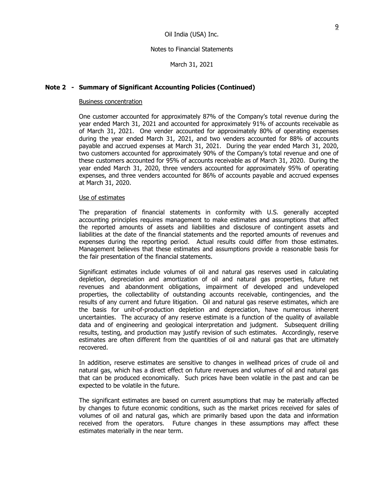March 31, 2021

### **Note 2 - Summary of Significant Accounting Policies (Continued)**

#### Business concentration

One customer accounted for approximately 87% of the Company's total revenue during the year ended March 31, 2021 and accounted for approximately 91% of accounts receivable as of March 31, 2021. One vender accounted for approximately 80% of operating expenses during the year ended March 31, 2021, and two venders accounted for 88% of accounts payable and accrued expenses at March 31, 2021. During the year ended March 31, 2020, two customers accounted for approximately 90% of the Company's total revenue and one of these customers accounted for 95% of accounts receivable as of March 31, 2020. During the year ended March 31, 2020, three venders accounted for approximately 95% of operating expenses, and three venders accounted for 86% of accounts payable and accrued expenses at March 31, 2020.

#### Use of estimates

The preparation of financial statements in conformity with U.S. generally accepted accounting principles requires management to make estimates and assumptions that affect the reported amounts of assets and liabilities and disclosure of contingent assets and liabilities at the date of the financial statements and the reported amounts of revenues and expenses during the reporting period. Actual results could differ from those estimates. Management believes that these estimates and assumptions provide a reasonable basis for the fair presentation of the financial statements.

Significant estimates include volumes of oil and natural gas reserves used in calculating depletion, depreciation and amortization of oil and natural gas properties, future net revenues and abandonment obligations, impairment of developed and undeveloped properties, the collectability of outstanding accounts receivable, contingencies, and the results of any current and future litigation. Oil and natural gas reserve estimates, which are the basis for unit-of-production depletion and depreciation, have numerous inherent uncertainties. The accuracy of any reserve estimate is a function of the quality of available data and of engineering and geological interpretation and judgment. Subsequent drilling results, testing, and production may justify revision of such estimates. Accordingly, reserve estimates are often different from the quantities of oil and natural gas that are ultimately recovered.

In addition, reserve estimates are sensitive to changes in wellhead prices of crude oil and natural gas, which has a direct effect on future revenues and volumes of oil and natural gas that can be produced economically. Such prices have been volatile in the past and can be expected to be volatile in the future.

The significant estimates are based on current assumptions that may be materially affected by changes to future economic conditions, such as the market prices received for sales of volumes of oil and natural gas, which are primarily based upon the data and information received from the operators. Future changes in these assumptions may affect these estimates materially in the near term.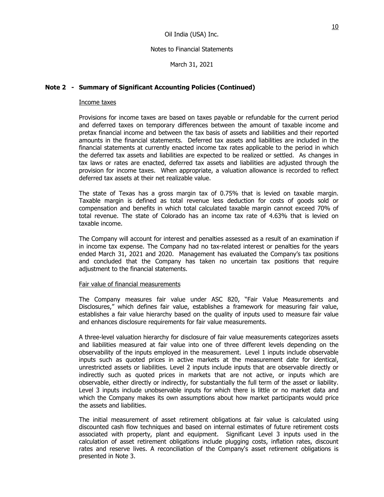March 31, 2021

## **Note 2 - Summary of Significant Accounting Policies (Continued)**

## Income taxes

Provisions for income taxes are based on taxes payable or refundable for the current period and deferred taxes on temporary differences between the amount of taxable income and pretax financial income and between the tax basis of assets and liabilities and their reported amounts in the financial statements. Deferred tax assets and liabilities are included in the financial statements at currently enacted income tax rates applicable to the period in which the deferred tax assets and liabilities are expected to be realized or settled. As changes in tax laws or rates are enacted, deferred tax assets and liabilities are adjusted through the provision for income taxes. When appropriate, a valuation allowance is recorded to reflect deferred tax assets at their net realizable value.

The state of Texas has a gross margin tax of 0.75% that is levied on taxable margin. Taxable margin is defined as total revenue less deduction for costs of goods sold or compensation and benefits in which total calculated taxable margin cannot exceed 70% of total revenue. The state of Colorado has an income tax rate of 4.63% that is levied on taxable income.

The Company will account for interest and penalties assessed as a result of an examination if in income tax expense. The Company had no tax-related interest or penalties for the years ended March 31, 2021 and 2020. Management has evaluated the Company's tax positions and concluded that the Company has taken no uncertain tax positions that require adjustment to the financial statements.

### Fair value of financial measurements

The Company measures fair value under ASC 820, "Fair Value Measurements and Disclosures," which defines fair value, establishes a framework for measuring fair value, establishes a fair value hierarchy based on the quality of inputs used to measure fair value and enhances disclosure requirements for fair value measurements.

A three-level valuation hierarchy for disclosure of fair value measurements categorizes assets and liabilities measured at fair value into one of three different levels depending on the observability of the inputs employed in the measurement. Level 1 inputs include observable inputs such as quoted prices in active markets at the measurement date for identical, unrestricted assets or liabilities. Level 2 inputs include inputs that are observable directly or indirectly such as quoted prices in markets that are not active, or inputs which are observable, either directly or indirectly, for substantially the full term of the asset or liability. Level 3 inputs include unobservable inputs for which there is little or no market data and which the Company makes its own assumptions about how market participants would price the assets and liabilities.

The initial measurement of asset retirement obligations at fair value is calculated using discounted cash flow techniques and based on internal estimates of future retirement costs associated with property, plant and equipment. Significant Level 3 inputs used in the calculation of asset retirement obligations include plugging costs, inflation rates, discount rates and reserve lives. A reconciliation of the Company's asset retirement obligations is presented in Note 3.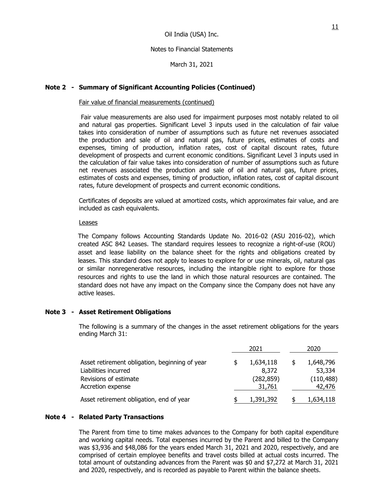March 31, 2021

### **Note 2 - Summary of Significant Accounting Policies (Continued)**

#### Fair value of financial measurements (continued)

Fair value measurements are also used for impairment purposes most notably related to oil and natural gas properties. Significant Level 3 inputs used in the calculation of fair value takes into consideration of number of assumptions such as future net revenues associated the production and sale of oil and natural gas, future prices, estimates of costs and expenses, timing of production, inflation rates, cost of capital discount rates, future development of prospects and current economic conditions. Significant Level 3 inputs used in the calculation of fair value takes into consideration of number of assumptions such as future net revenues associated the production and sale of oil and natural gas, future prices, estimates of costs and expenses, timing of production, inflation rates, cost of capital discount rates, future development of prospects and current economic conditions.

Certificates of deposits are valued at amortized costs, which approximates fair value, and are included as cash equivalents.

#### Leases

The Company follows Accounting Standards Update No. 2016-02 (ASU 2016-02), which created ASC 842 Leases. The standard requires lessees to recognize a right-of-use (ROU) asset and lease liability on the balance sheet for the rights and obligations created by leases. This standard does not apply to leases to explore for or use minerals, oil, natural gas or similar nonregenerative resources, including the intangible right to explore for those resources and rights to use the land in which those natural resources are contained. The standard does not have any impact on the Company since the Company does not have any active leases.

#### **Note 3 - Asset Retirement Obligations**

The following is a summary of the changes in the asset retirement obligations for the years ending March 31:

|                                                                                                                      | 2021 |                                            | 2020 |                                             |
|----------------------------------------------------------------------------------------------------------------------|------|--------------------------------------------|------|---------------------------------------------|
| Asset retirement obligation, beginning of year<br>Liabilities incurred<br>Revisions of estimate<br>Accretion expense |      | 1,634,118<br>8,372<br>(282, 859)<br>31,761 | \$   | 1,648,796<br>53,334<br>(110, 488)<br>42,476 |
| Asset retirement obligation, end of year                                                                             |      | 1,391,392                                  |      | 1,634,118                                   |

#### **Note 4 - Related Party Transactions**

The Parent from time to time makes advances to the Company for both capital expenditure and working capital needs. Total expenses incurred by the Parent and billed to the Company was \$3,936 and \$48,086 for the years ended March 31, 2021 and 2020, respectively, and are comprised of certain employee benefits and travel costs billed at actual costs incurred. The total amount of outstanding advances from the Parent was \$0 and \$7,272 at March 31, 2021 and 2020, respectively, and is recorded as payable to Parent within the balance sheets.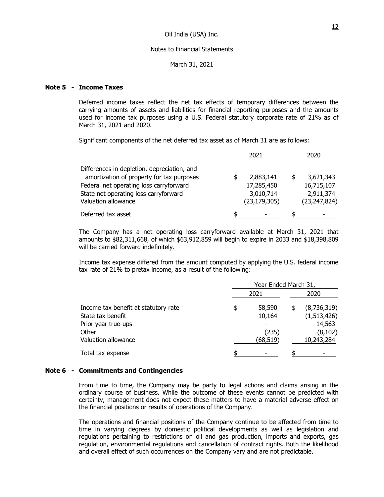March 31, 2021

## **Note 5 - Income Taxes**

Deferred income taxes reflect the net tax effects of temporary differences between the carrying amounts of assets and liabilities for financial reporting purposes and the amounts used for income tax purposes using a U.S. Federal statutory corporate rate of 21% as of March 31, 2021 and 2020.

Significant components of the net deferred tax asset as of March 31 are as follows:

|                                             | 2021 |                | 2020         |  |
|---------------------------------------------|------|----------------|--------------|--|
| Differences in depletion, depreciation, and |      |                |              |  |
| amortization of property for tax purposes   |      | 2,883,141      | 3,621,343    |  |
| Federal net operating loss carryforward     |      | 17,285,450     | 16,715,107   |  |
| State net operating loss carryforward       |      | 3,010,714      | 2,911,374    |  |
| Valuation allowance                         |      | (23, 179, 305) | (23,247,824) |  |
| Deferred tax asset                          | \$   |                | -            |  |

The Company has a net operating loss carryforward available at March 31, 2021 that amounts to \$82,311,668, of which \$63,912,859 will begin to expire in 2033 and \$18,398,809 will be carried forward indefinitely.

Income tax expense differed from the amount computed by applying the U.S. federal income tax rate of 21% to pretax income, as a result of the following:

|                                      | Year Ended March 31, |          |    |             |
|--------------------------------------|----------------------|----------|----|-------------|
|                                      |                      | 2021     |    | 2020        |
| Income tax benefit at statutory rate | \$                   | 58,590   | \$ | (8,736,319) |
| State tax benefit                    |                      | 10,164   |    | (1,513,426) |
| Prior year true-ups                  |                      |          |    | 14,563      |
| Other                                |                      | (235)    |    | (8, 102)    |
| Valuation allowance                  |                      | (68,519) |    | 10,243,284  |
| Total tax expense                    |                      |          |    |             |

#### **Note 6 - Commitments and Contingencies**

From time to time, the Company may be party to legal actions and claims arising in the ordinary course of business. While the outcome of these events cannot be predicted with certainty, management does not expect these matters to have a material adverse effect on the financial positions or results of operations of the Company.

The operations and financial positions of the Company continue to be affected from time to time in varying degrees by domestic political developments as well as legislation and regulations pertaining to restrictions on oil and gas production, imports and exports, gas regulation, environmental regulations and cancellation of contract rights. Both the likelihood and overall effect of such occurrences on the Company vary and are not predictable.